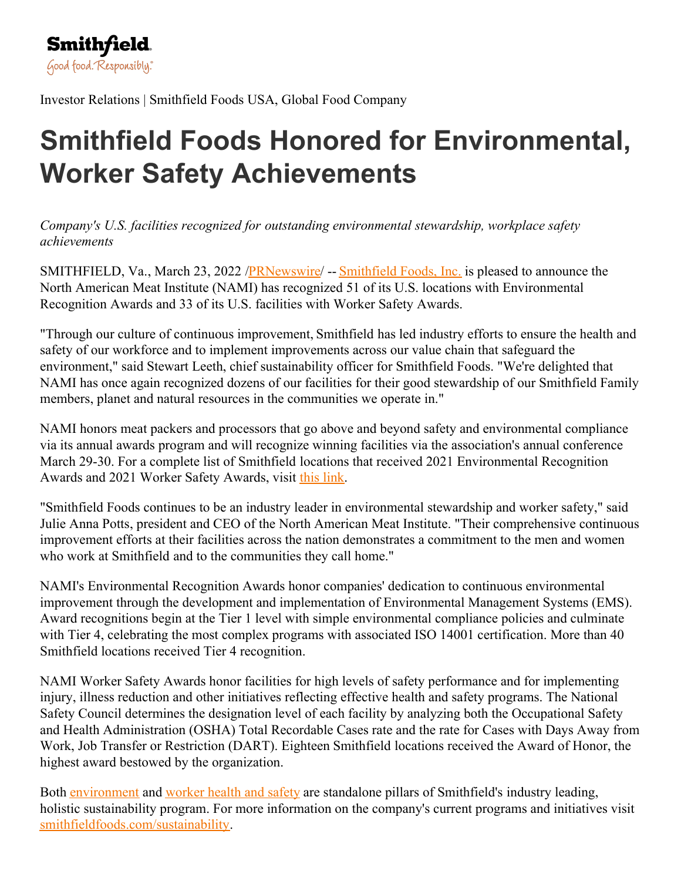Investor Relations | Smithfield Foods USA, Global Food Company

## **Smithfield Foods Honored for Environmental, Worker Safety Achievements**

*Company's U.S. facilities recognized for outstanding environmental stewardship, workplace safety achievements*

SMITHFIELD, Va., March 23, 2022 [/PRNewswire](http://www.prnewswire.com/)/ -- [Smithfield](https://c212.net/c/link/?t=0&l=en&o=3481276-1&h=3500985775&u=https%3A%2F%2Fwww.smithfieldfoods.com%2F&a=Smithfield+Foods%2C+Inc.) Foods, Inc. is pleased to announce the North American Meat Institute (NAMI) has recognized 51 of its U.S. locations with Environmental Recognition Awards and 33 of its U.S. facilities with Worker Safety Awards.

"Through our culture of continuous improvement, Smithfield has led industry efforts to ensure the health and safety of our workforce and to implement improvements across our value chain that safeguard the environment," said Stewart Leeth, chief sustainability officer for Smithfield Foods. "We're delighted that NAMI has once again recognized dozens of our facilities for their good stewardship of our Smithfield Family members, planet and natural resources in the communities we operate in."

NAMI honors meat packers and processors that go above and beyond safety and environmental compliance via its annual awards program and will recognize winning facilities via the association's annual conference March 29-30. For a complete list of Smithfield locations that received 2021 Environmental Recognition Awards and 2021 Worker Safety Awards, visit this [link](https://c212.net/c/link/?t=0&l=en&o=3481276-1&h=2951621547&u=https%3A%2F%2Ftexts.smithfieldfoods.com%2Fwp-content%2Fuploads%2F2022%2F03%2FSFF-044-March-Req-NAMI2022-EnvironmentalAwards_RD3.pdf&a=this+link).

"Smithfield Foods continues to be an industry leader in environmental stewardship and worker safety," said Julie Anna Potts, president and CEO of the North American Meat Institute. "Their comprehensive continuous improvement efforts at their facilities across the nation demonstrates a commitment to the men and women who work at Smithfield and to the communities they call home."

NAMI's Environmental Recognition Awards honor companies' dedication to continuous environmental improvement through the development and implementation of Environmental Management Systems (EMS). Award recognitions begin at the Tier 1 level with simple environmental compliance policies and culminate with Tier 4, celebrating the most complex programs with associated ISO 14001 certification. More than 40 Smithfield locations received Tier 4 recognition.

NAMI Worker Safety Awards honor facilities for high levels of safety performance and for implementing injury, illness reduction and other initiatives reflecting effective health and safety programs. The National Safety Council determines the designation level of each facility by analyzing both the Occupational Safety and Health Administration (OSHA) Total Recordable Cases rate and the rate for Cases with Days Away from Work, Job Transfer or Restriction (DART). Eighteen Smithfield locations received the Award of Honor, the highest award bestowed by the organization.

Both [environment](https://c212.net/c/link/?t=0&l=en&o=3481276-1&h=586241801&u=https%3A%2F%2Fwww.smithfieldfoods.com%2Fenvironment&a=environment) and [worker](https://c212.net/c/link/?t=0&l=en&o=3481276-1&h=140129854&u=https%3A%2F%2Fwww.smithfieldfoods.com%2Fworker-health-and-safety&a=worker+health+and+safety) health and safety are standalone pillars of Smithfield's industry leading, holistic sustainability program. For more information on the company's current programs and initiatives visit [smithfieldfoods.com/sustainability](https://c212.net/c/link/?t=0&l=en&o=3481276-1&h=2099150975&u=http%3A%2F%2Fwww.smithfieldfoods.com%2Fsustainability&a=smithfieldfoods.com%2Fsustainability).